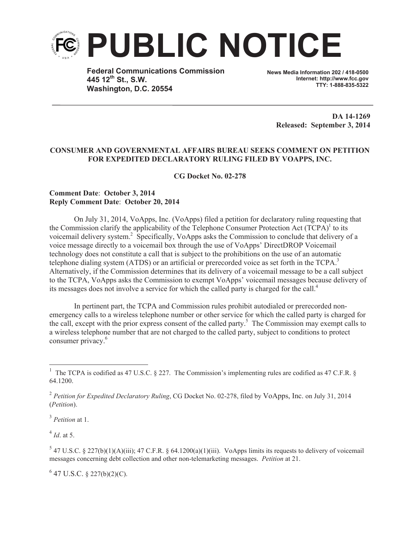

**Federal Communications Commission 445 12th St., S.W. Washington, D.C. 20554**

**News Media Information 202 / 418-0500 Internet: http://www.fcc.gov TTY: 1-888-835-5322**

**DA 14-1269 Released: September 3, 2014**

## **CONSUMER AND GOVERNMENTAL AFFAIRS BUREAU SEEKS COMMENT ON PETITION FOR EXPEDITED DECLARATORY RULING FILED BY VOAPPS, INC.**

**CG Docket No. 02-278**

## **Comment Date**: **October 3, 2014 Reply Comment Date**: **October 20, 2014**

On July 31, 2014, VoApps, Inc. (VoApps) filed a petition for declaratory ruling requesting that the Commission clarify the applicability of the Telephone Consumer Protection Act  $(TCPA)^{1}$  to its voicemail delivery system.<sup>2</sup> Specifically, VoApps asks the Commission to conclude that delivery of a voice message directly to a voicemail box through the use of VoApps' DirectDROP Voicemail technology does not constitute a call that is subject to the prohibitions on the use of an automatic telephone dialing system (ATDS) or an artificial or prerecorded voice as set forth in the TCPA.<sup>3</sup> Alternatively, if the Commission determines that its delivery of a voicemail message to be a call subject to the TCPA, VoApps asks the Commission to exempt VoApps' voicemail messages because delivery of its messages does not involve a service for which the called party is charged for the call.<sup>4</sup>

In pertinent part, the TCPA and Commission rules prohibit autodialed or prerecorded nonemergency calls to a wireless telephone number or other service for which the called party is charged for the call, except with the prior express consent of the called party.<sup>5</sup> The Commission may exempt calls to a wireless telephone number that are not charged to the called party, subject to conditions to protect consumer privacy.<sup>6</sup>

3 *Petition* at 1.

4 *Id*. at 5.

 $6$  47 U.S.C. § 227(b)(2)(C).

<sup>&</sup>lt;sup>1</sup> The TCPA is codified as 47 U.S.C. § 227. The Commission's implementing rules are codified as 47 C.F.R. § 64.1200.

<sup>2</sup> *Petition for Expedited Declaratory Ruling*, CG Docket No. 02-278, filed by VoApps, Inc. on July 31, 2014 (*Petition*).

 $5$  47 U.S.C. § 227(b)(1)(A)(iii); 47 C.F.R. § 64.1200(a)(1)(iii). VoApps limits its requests to delivery of voicemail messages concerning debt collection and other non-telemarketing messages. *Petition* at 21.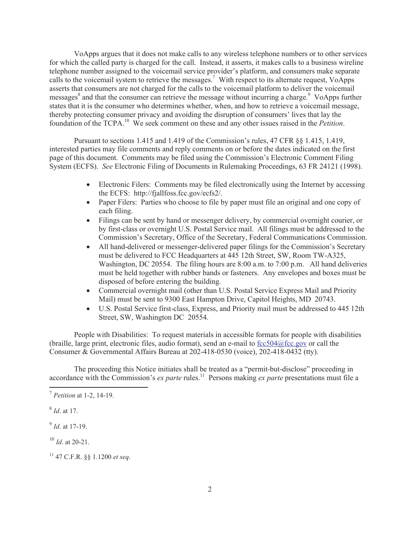VoApps argues that it does not make calls to any wireless telephone numbers or to other services for which the called party is charged for the call. Instead, it asserts, it makes calls to a business wireline telephone number assigned to the voicemail service provider's platform, and consumers make separate calls to the voicemail system to retrieve the messages.<sup>7</sup> With respect to its alternate request, VoApps asserts that consumers are not charged for the calls to the voicemail platform to deliver the voicemail messages<sup>8</sup> and that the consumer can retrieve the message without incurring a charge.<sup>9</sup> VoApps further states that it is the consumer who determines whether, when, and how to retrieve a voicemail message, thereby protecting consumer privacy and avoiding the disruption of consumers' lives that lay the foundation of the TCPA.<sup>10</sup> We seek comment on these and any other issues raised in the *Petition*.

Pursuant to sections 1.415 and 1.419 of the Commission's rules, 47 CFR §§ 1.415, 1.419, interested parties may file comments and reply comments on or before the dates indicated on the first page of this document. Comments may be filed using the Commission's Electronic Comment Filing System (ECFS). *See* Electronic Filing of Documents in Rulemaking Proceedings, 63 FR 24121 (1998).

- Electronic Filers: Comments may be filed electronically using the Internet by accessing the ECFS: http://fjallfoss.fcc.gov/ecfs2/.
- Paper Filers: Parties who choose to file by paper must file an original and one copy of each filing.
- · Filings can be sent by hand or messenger delivery, by commercial overnight courier, or by first-class or overnight U.S. Postal Service mail. All filings must be addressed to the Commission's Secretary, Office of the Secretary, Federal Communications Commission.
- All hand-delivered or messenger-delivered paper filings for the Commission's Secretary must be delivered to FCC Headquarters at 445 12th Street, SW, Room TW-A325, Washington, DC 20554. The filing hours are 8:00 a.m. to 7:00 p.m. All hand deliveries must be held together with rubber bands or fasteners. Any envelopes and boxes must be disposed of before entering the building.
- · Commercial overnight mail (other than U.S. Postal Service Express Mail and Priority Mail) must be sent to 9300 East Hampton Drive, Capitol Heights, MD 20743.
- · U.S. Postal Service first-class, Express, and Priority mail must be addressed to 445 12th Street, SW, Washington DC 20554.

People with Disabilities: To request materials in accessible formats for people with disabilities (braille, large print, electronic files, audio format), send an e-mail to  $fcc504@$ fcc.gov or call the Consumer & Governmental Affairs Bureau at 202-418-0530 (voice), 202-418-0432 (tty).

The proceeding this Notice initiates shall be treated as a "permit-but-disclose" proceeding in accordance with the Commission's *ex parte* rules.<sup>11</sup> Persons making *ex parte* presentations must file a

<sup>7</sup> *Petition* at 1-2, 14-19.

<sup>8</sup> *Id*. at 17.

<sup>9</sup> *Id*. at 17-19.

<sup>10</sup> *Id*. at 20-21.

<sup>11</sup> 47 C.F.R. §§ 1.1200 *et seq*.